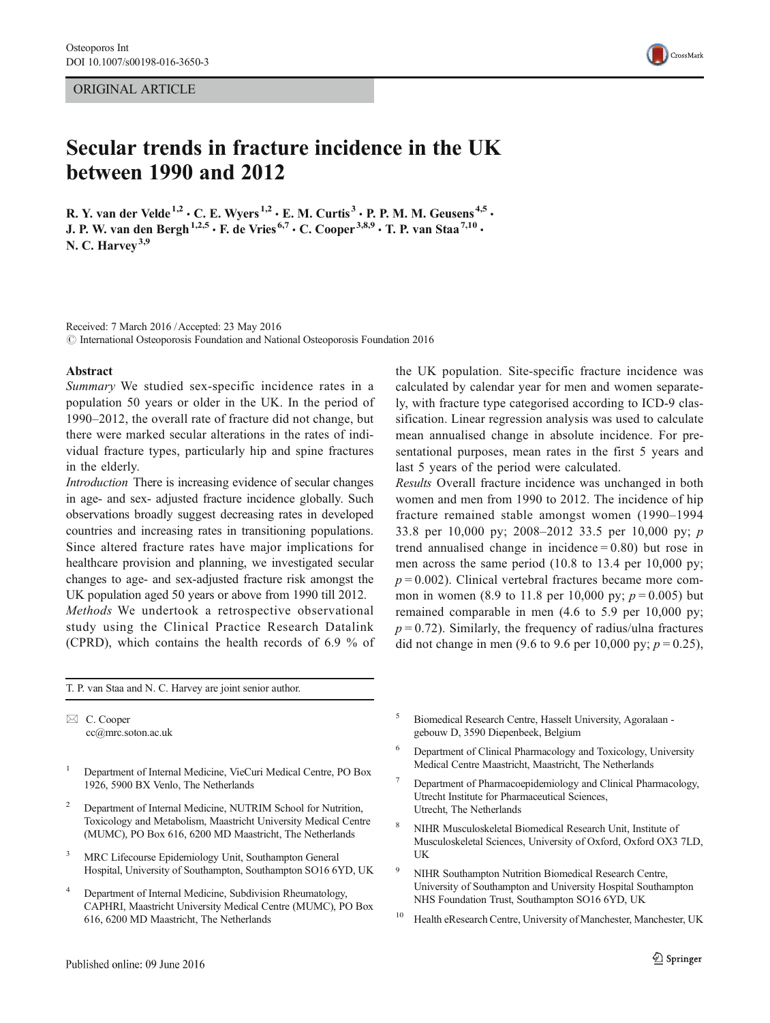ORIGINAL ARTICLE

# Secular trends in fracture incidence in the UK between 1990 and 2012

R. Y. van der Velde  $^{1,2}$  · C. E. Wyers  $^{1,2}$  · E. M. Curtis<sup>3</sup> · P. P. M. M. Geusens  $^{4,5}$  · J. P. W. van den Bergh<sup>1,2,5</sup>  $\cdot$  F. de Vries<sup>6,7</sup>  $\cdot$  C. Cooper<sup>3,8,9</sup>  $\cdot$  T. P. van Staa<sup>7,10</sup>  $\cdot$ N. C. Harvey<sup>3,9</sup>

Received: 7 March 2016 /Accepted: 23 May 2016 © International Osteoporosis Foundation and National Osteoporosis Foundation 2016

### Abstract

Summary We studied sex-specific incidence rates in a population 50 years or older in the UK. In the period of 1990–2012, the overall rate of fracture did not change, but there were marked secular alterations in the rates of individual fracture types, particularly hip and spine fractures in the elderly.

Introduction There is increasing evidence of secular changes in age- and sex- adjusted fracture incidence globally. Such observations broadly suggest decreasing rates in developed countries and increasing rates in transitioning populations. Since altered fracture rates have major implications for healthcare provision and planning, we investigated secular changes to age- and sex-adjusted fracture risk amongst the UK population aged 50 years or above from 1990 till 2012. Methods We undertook a retrospective observational study using the Clinical Practice Research Datalink (CPRD), which contains the health records of 6.9 % of

T. P. van Staa and N. C. Harvey are joint senior author.

 $\boxtimes$  C. Cooper cc@mrc.soton.ac.uk

- <sup>1</sup> Department of Internal Medicine, VieCuri Medical Centre, PO Box 1926, 5900 BX Venlo, The Netherlands
- <sup>2</sup> Department of Internal Medicine, NUTRIM School for Nutrition, Toxicology and Metabolism, Maastricht University Medical Centre (MUMC), PO Box 616, 6200 MD Maastricht, The Netherlands
- <sup>3</sup> MRC Lifecourse Epidemiology Unit, Southampton General Hospital, University of Southampton, Southampton SO16 6YD, UK
- Department of Internal Medicine, Subdivision Rheumatology, CAPHRI, Maastricht University Medical Centre (MUMC), PO Box 616, 6200 MD Maastricht, The Netherlands



Results Overall fracture incidence was unchanged in both women and men from 1990 to 2012. The incidence of hip fracture remained stable amongst women (1990–1994 33.8 per 10,000 py; 2008–2012 33.5 per 10,000 py; p trend annualised change in incidence  $= 0.80$ ) but rose in men across the same period (10.8 to 13.4 per 10,000 py;  $p = 0.002$ ). Clinical vertebral fractures became more common in women (8.9 to 11.8 per 10,000 py;  $p = 0.005$ ) but remained comparable in men (4.6 to 5.9 per 10,000 py;  $p = 0.72$ ). Similarly, the frequency of radius/ulna fractures did not change in men (9.6 to 9.6 per 10,000 py;  $p = 0.25$ ),

- <sup>5</sup> Biomedical Research Centre, Hasselt University, Agoralaan gebouw D, 3590 Diepenbeek, Belgium
- <sup>6</sup> Department of Clinical Pharmacology and Toxicology, University Medical Centre Maastricht, Maastricht, The Netherlands
- <sup>7</sup> Department of Pharmacoepidemiology and Clinical Pharmacology, Utrecht Institute for Pharmaceutical Sciences, Utrecht, The Netherlands
- <sup>8</sup> NIHR Musculoskeletal Biomedical Research Unit, Institute of Musculoskeletal Sciences, University of Oxford, Oxford OX3 7LD, UK
- NIHR Southampton Nutrition Biomedical Research Centre, University of Southampton and University Hospital Southampton NHS Foundation Trust, Southampton SO16 6YD, UK
- Health eResearch Centre, University of Manchester, Manchester, UK

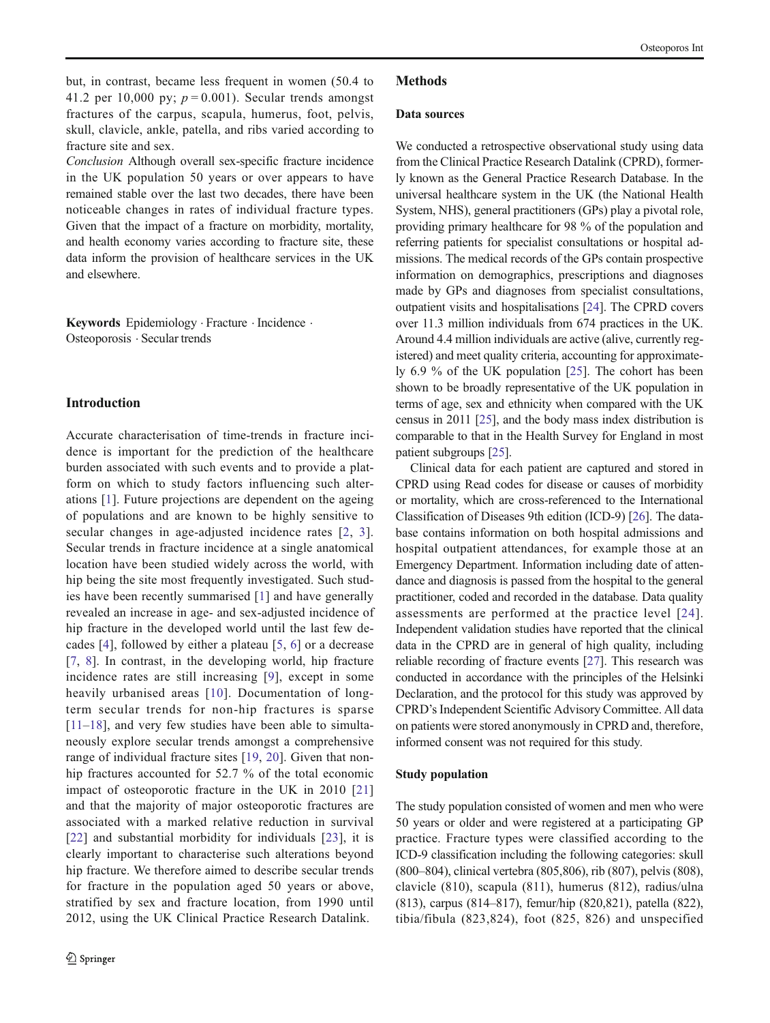but, in contrast, became less frequent in women (50.4 to 41.2 per 10,000 py;  $p = 0.001$ ). Secular trends amongst fractures of the carpus, scapula, humerus, foot, pelvis, skull, clavicle, ankle, patella, and ribs varied according to fracture site and sex.

Conclusion Although overall sex-specific fracture incidence in the UK population 50 years or over appears to have remained stable over the last two decades, there have been noticeable changes in rates of individual fracture types. Given that the impact of a fracture on morbidity, mortality, and health economy varies according to fracture site, these data inform the provision of healthcare services in the UK and elsewhere.

Keywords Epidemiology . Fracture . Incidence . Osteoporosis . Secular trends

# Introduction

Accurate characterisation of time-trends in fracture incidence is important for the prediction of the healthcare burden associated with such events and to provide a platform on which to study factors influencing such alterations [[1\]](#page-8-0). Future projections are dependent on the ageing of populations and are known to be highly sensitive to secular changes in age-adjusted incidence rates [\[2,](#page-8-0) [3](#page-8-0)]. Secular trends in fracture incidence at a single anatomical location have been studied widely across the world, with hip being the site most frequently investigated. Such studies have been recently summarised [\[1](#page-8-0)] and have generally revealed an increase in age- and sex-adjusted incidence of hip fracture in the developed world until the last few decades [[4\]](#page-8-0), followed by either a plateau [[5](#page-8-0), [6\]](#page-8-0) or a decrease [\[7](#page-8-0), [8](#page-8-0)]. In contrast, in the developing world, hip fracture incidence rates are still increasing [\[9\]](#page-8-0), except in some heavily urbanised areas [\[10](#page-8-0)]. Documentation of longterm secular trends for non-hip fractures is sparse [\[11](#page-8-0)–[18](#page-8-0)], and very few studies have been able to simultaneously explore secular trends amongst a comprehensive range of individual fracture sites [\[19](#page-8-0), [20](#page-8-0)]. Given that nonhip fractures accounted for 52.7 % of the total economic impact of osteoporotic fracture in the UK in 2010 [[21\]](#page-8-0) and that the majority of major osteoporotic fractures are associated with a marked relative reduction in survival [\[22\]](#page-8-0) and substantial morbidity for individuals [[23](#page-8-0)], it is clearly important to characterise such alterations beyond hip fracture. We therefore aimed to describe secular trends for fracture in the population aged 50 years or above, stratified by sex and fracture location, from 1990 until 2012, using the UK Clinical Practice Research Datalink.

### **Methods**

### Data sources

We conducted a retrospective observational study using data from the Clinical Practice Research Datalink (CPRD), formerly known as the General Practice Research Database. In the universal healthcare system in the UK (the National Health System, NHS), general practitioners (GPs) play a pivotal role, providing primary healthcare for 98 % of the population and referring patients for specialist consultations or hospital admissions. The medical records of the GPs contain prospective information on demographics, prescriptions and diagnoses made by GPs and diagnoses from specialist consultations, outpatient visits and hospitalisations [\[24\]](#page-8-0). The CPRD covers over 11.3 million individuals from 674 practices in the UK. Around 4.4 million individuals are active (alive, currently registered) and meet quality criteria, accounting for approximately 6.9 % of the UK population [[25\]](#page-8-0). The cohort has been shown to be broadly representative of the UK population in terms of age, sex and ethnicity when compared with the UK census in 2011 [[25\]](#page-8-0), and the body mass index distribution is comparable to that in the Health Survey for England in most patient subgroups [[25\]](#page-8-0).

Clinical data for each patient are captured and stored in CPRD using Read codes for disease or causes of morbidity or mortality, which are cross-referenced to the International Classification of Diseases 9th edition (ICD-9) [\[26](#page-9-0)]. The database contains information on both hospital admissions and hospital outpatient attendances, for example those at an Emergency Department. Information including date of attendance and diagnosis is passed from the hospital to the general practitioner, coded and recorded in the database. Data quality assessments are performed at the practice level [[24](#page-8-0)]. Independent validation studies have reported that the clinical data in the CPRD are in general of high quality, including reliable recording of fracture events [\[27](#page-9-0)]. This research was conducted in accordance with the principles of the Helsinki Declaration, and the protocol for this study was approved by CPRD's Independent Scientific Advisory Committee. All data on patients were stored anonymously in CPRD and, therefore, informed consent was not required for this study.

### Study population

The study population consisted of women and men who were 50 years or older and were registered at a participating GP practice. Fracture types were classified according to the ICD-9 classification including the following categories: skull (800–804), clinical vertebra (805,806), rib (807), pelvis (808), clavicle (810), scapula (811), humerus (812), radius/ulna (813), carpus (814–817), femur/hip (820,821), patella (822), tibia/fibula (823,824), foot (825, 826) and unspecified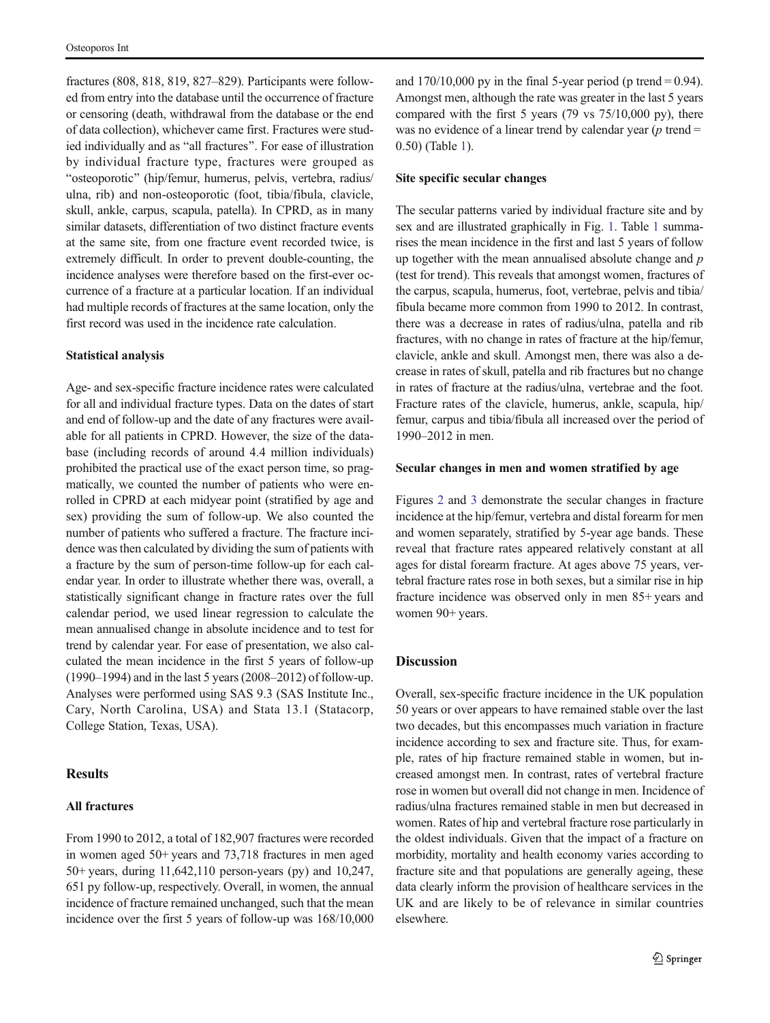fractures (808, 818, 819, 827–829). Participants were followed from entry into the database until the occurrence of fracture or censoring (death, withdrawal from the database or the end of data collection), whichever came first. Fractures were studied individually and as "all fractures". For ease of illustration by individual fracture type, fractures were grouped as "osteoporotic" (hip/femur, humerus, pelvis, vertebra, radius/ ulna, rib) and non-osteoporotic (foot, tibia/fibula, clavicle, skull, ankle, carpus, scapula, patella). In CPRD, as in many similar datasets, differentiation of two distinct fracture events at the same site, from one fracture event recorded twice, is extremely difficult. In order to prevent double-counting, the incidence analyses were therefore based on the first-ever occurrence of a fracture at a particular location. If an individual had multiple records of fractures at the same location, only the first record was used in the incidence rate calculation.

### Statistical analysis

Age- and sex-specific fracture incidence rates were calculated for all and individual fracture types. Data on the dates of start and end of follow-up and the date of any fractures were available for all patients in CPRD. However, the size of the database (including records of around 4.4 million individuals) prohibited the practical use of the exact person time, so pragmatically, we counted the number of patients who were enrolled in CPRD at each midyear point (stratified by age and sex) providing the sum of follow-up. We also counted the number of patients who suffered a fracture. The fracture incidence was then calculated by dividing the sum of patients with a fracture by the sum of person-time follow-up for each calendar year. In order to illustrate whether there was, overall, a statistically significant change in fracture rates over the full calendar period, we used linear regression to calculate the mean annualised change in absolute incidence and to test for trend by calendar year. For ease of presentation, we also calculated the mean incidence in the first 5 years of follow-up (1990–1994) and in the last 5 years (2008–2012) of follow-up. Analyses were performed using SAS 9.3 (SAS Institute Inc., Cary, North Carolina, USA) and Stata 13.1 (Statacorp, College Station, Texas, USA).

### **Results**

# All fractures

From 1990 to 2012, a total of 182,907 fractures were recorded in women aged 50+ years and 73,718 fractures in men aged 50+ years, during 11,642,110 person-years (py) and 10,247, 651 py follow-up, respectively. Overall, in women, the annual incidence of fracture remained unchanged, such that the mean incidence over the first 5 years of follow-up was 168/10,000 and  $170/10,000$  py in the final 5-year period (p trend = 0.94). Amongst men, although the rate was greater in the last 5 years compared with the first 5 years (79 vs  $75/10,000$  py), there was no evidence of a linear trend by calendar year ( $p$  trend = 0.50) (Table [1](#page-3-0)).

# Site specific secular changes

The secular patterns varied by individual fracture site and by sex and are illustrated graphically in Fig. [1](#page-4-0). Table [1](#page-3-0) summarises the mean incidence in the first and last 5 years of follow up together with the mean annualised absolute change and  $p$ (test for trend). This reveals that amongst women, fractures of the carpus, scapula, humerus, foot, vertebrae, pelvis and tibia/ fibula became more common from 1990 to 2012. In contrast, there was a decrease in rates of radius/ulna, patella and rib fractures, with no change in rates of fracture at the hip/femur, clavicle, ankle and skull. Amongst men, there was also a decrease in rates of skull, patella and rib fractures but no change in rates of fracture at the radius/ulna, vertebrae and the foot. Fracture rates of the clavicle, humerus, ankle, scapula, hip/ femur, carpus and tibia/fibula all increased over the period of 1990–2012 in men.

### Secular changes in men and women stratified by age

Figures [2](#page-5-0) and [3](#page-6-0) demonstrate the secular changes in fracture incidence at the hip/femur, vertebra and distal forearm for men and women separately, stratified by 5-year age bands. These reveal that fracture rates appeared relatively constant at all ages for distal forearm fracture. At ages above 75 years, vertebral fracture rates rose in both sexes, but a similar rise in hip fracture incidence was observed only in men 85+ years and women 90+ years.

## **Discussion**

Overall, sex-specific fracture incidence in the UK population 50 years or over appears to have remained stable over the last two decades, but this encompasses much variation in fracture incidence according to sex and fracture site. Thus, for example, rates of hip fracture remained stable in women, but increased amongst men. In contrast, rates of vertebral fracture rose in women but overall did not change in men. Incidence of radius/ulna fractures remained stable in men but decreased in women. Rates of hip and vertebral fracture rose particularly in the oldest individuals. Given that the impact of a fracture on morbidity, mortality and health economy varies according to fracture site and that populations are generally ageing, these data clearly inform the provision of healthcare services in the UK and are likely to be of relevance in similar countries elsewhere.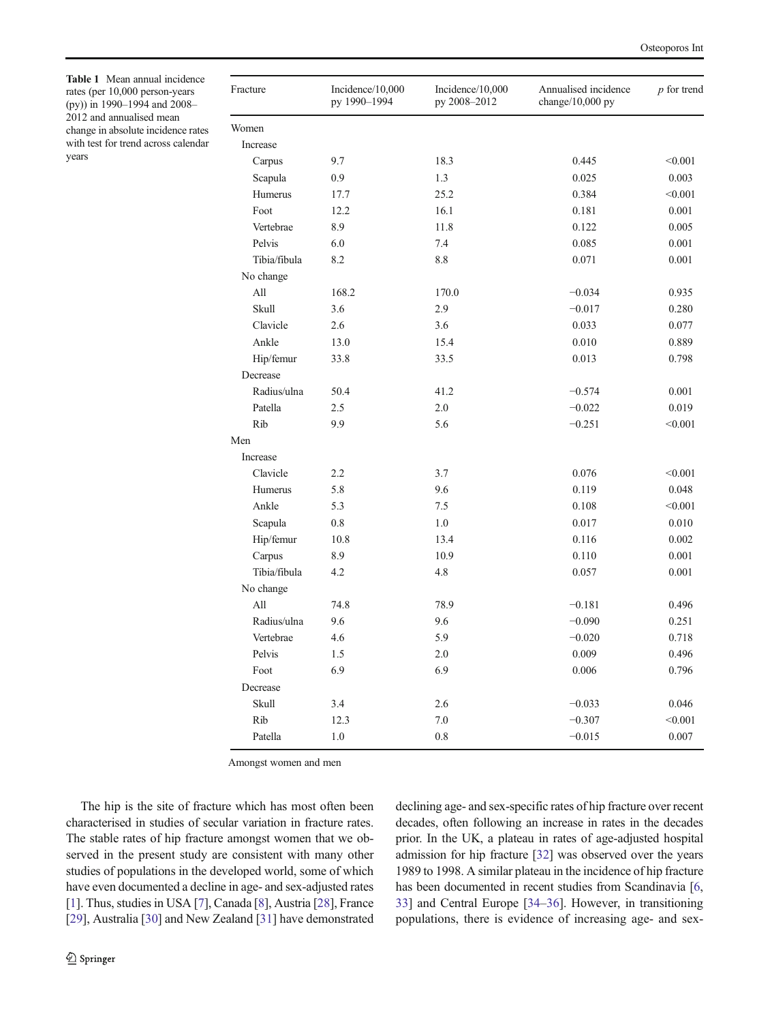<span id="page-3-0"></span>Table 1 Mean annual incidence rates (per 10,000 person-years (py)) in 1990–1994 and 2008– 2012 and annualised mean change in absolute incidence rates with test for trend across calendar years

| Fracture     | Incidence/10,000<br>py 1990-1994 | Incidence/10,000<br>py 2008-2012 | Annualised incidence<br>change/10,000 py | $p$ for trend |
|--------------|----------------------------------|----------------------------------|------------------------------------------|---------------|
| Women        |                                  |                                  |                                          |               |
| Increase     |                                  |                                  |                                          |               |
| Carpus       | 9.7                              | 18.3                             | 0.445                                    | < 0.001       |
| Scapula      | 0.9                              | 1.3                              | 0.025                                    | 0.003         |
| Humerus      | 17.7                             | 25.2                             | 0.384                                    | < 0.001       |
| Foot         | 12.2                             | 16.1                             | 0.181                                    | 0.001         |
| Vertebrae    | 8.9                              | 11.8                             | 0.122                                    | 0.005         |
| Pelvis       | 6.0                              | 7.4                              | 0.085                                    | 0.001         |
| Tibia/fibula | 8.2                              | 8.8                              | 0.071                                    | 0.001         |
| No change    |                                  |                                  |                                          |               |
| All          | 168.2                            | 170.0                            | $-0.034$                                 | 0.935         |
| Skull        | 3.6                              | 2.9                              | $-0.017$                                 | 0.280         |
| Clavicle     | 2.6                              | 3.6                              | 0.033                                    | 0.077         |
| Ankle        | 13.0                             | 15.4                             | 0.010                                    | 0.889         |
| Hip/femur    | 33.8                             | 33.5                             | 0.013                                    | 0.798         |
| Decrease     |                                  |                                  |                                          |               |
| Radius/ulna  | 50.4                             | 41.2                             | $-0.574$                                 | 0.001         |
| Patella      | 2.5                              | 2.0                              | $-0.022$                                 | 0.019         |
| Rib          | 9.9                              | 5.6                              | $-0.251$                                 | < 0.001       |
| Men          |                                  |                                  |                                          |               |
| Increase     |                                  |                                  |                                          |               |
| Clavicle     | 2.2                              | 3.7                              | 0.076                                    | < 0.001       |
| Humerus      | 5.8                              | 9.6                              | 0.119                                    | 0.048         |
| Ankle        | 5.3                              | 7.5                              | 0.108                                    | < 0.001       |
| Scapula      | 0.8                              | 1.0                              | 0.017                                    | 0.010         |
| Hip/femur    | 10.8                             | 13.4                             | 0.116                                    | 0.002         |
| Carpus       | 8.9                              | 10.9                             | 0.110                                    | 0.001         |
| Tibia/fibula | 4.2                              | 4.8                              | 0.057                                    | 0.001         |
| No change    |                                  |                                  |                                          |               |
| All          | 74.8                             | 78.9                             | $-0.181$                                 | 0.496         |
| Radius/ulna  | 9.6                              | 9.6                              | $-0.090$                                 | 0.251         |
| Vertebrae    | 4.6                              | 5.9                              | $-0.020$                                 | 0.718         |
| Pelvis       | 1.5                              | 2.0                              | 0.009                                    | 0.496         |
| Foot         | 6.9                              | 6.9                              | 0.006                                    | 0.796         |
| Decrease     |                                  |                                  |                                          |               |
| Skull        | 3.4                              | 2.6                              | $-0.033$                                 | 0.046         |
| Rib          | 12.3                             | 7.0                              | $-0.307$                                 | < 0.001       |
| Patella      | 1.0                              | 0.8                              | $-0.015$                                 | 0.007         |

Amongst women and men

The hip is the site of fracture which has most often been characterised in studies of secular variation in fracture rates. The stable rates of hip fracture amongst women that we observed in the present study are consistent with many other studies of populations in the developed world, some of which have even documented a decline in age- and sex-adjusted rates [\[1](#page-8-0)]. Thus, studies in USA [\[7](#page-8-0)], Canada [[8\]](#page-8-0), Austria [[28](#page-9-0)], France [\[29\]](#page-9-0), Australia [\[30](#page-9-0)] and New Zealand [\[31\]](#page-9-0) have demonstrated

declining age- and sex-specific rates of hip fracture over recent decades, often following an increase in rates in the decades prior. In the UK, a plateau in rates of age-adjusted hospital admission for hip fracture [\[32\]](#page-9-0) was observed over the years 1989 to 1998. A similar plateau in the incidence of hip fracture has been documented in recent studies from Scandinavia [[6,](#page-8-0) [33\]](#page-9-0) and Central Europe [\[34](#page-9-0)–[36\]](#page-9-0). However, in transitioning populations, there is evidence of increasing age- and sex-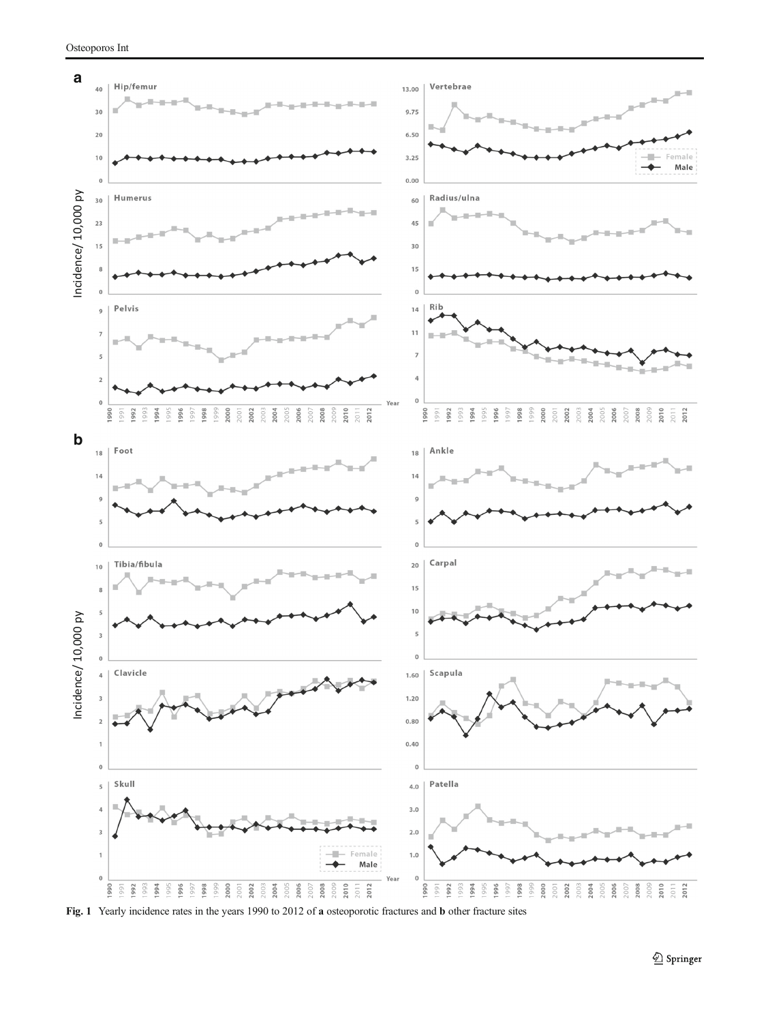<span id="page-4-0"></span>Osteoporos Int



Fig. 1 Yearly incidence rates in the years 1990 to 2012 of a osteoporotic fractures and b other fracture sites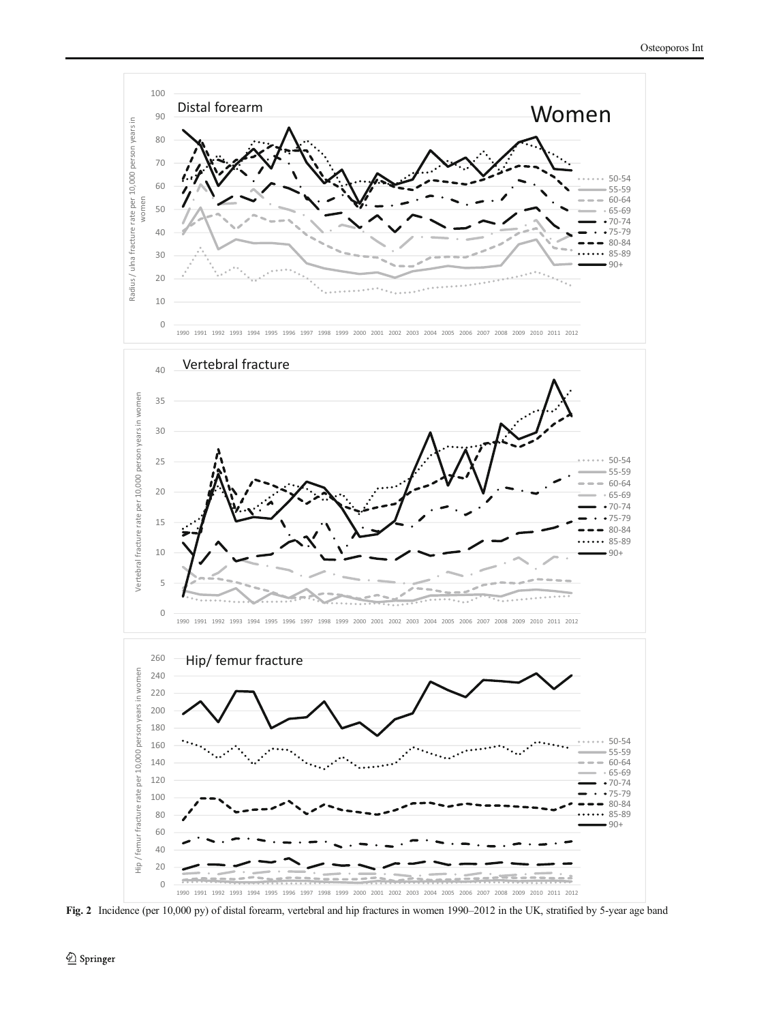<span id="page-5-0"></span>

Fig. 2 Incidence (per 10,000 py) of distal forearm, vertebral and hip fractures in women 1990–2012 in the UK, stratified by 5-year age band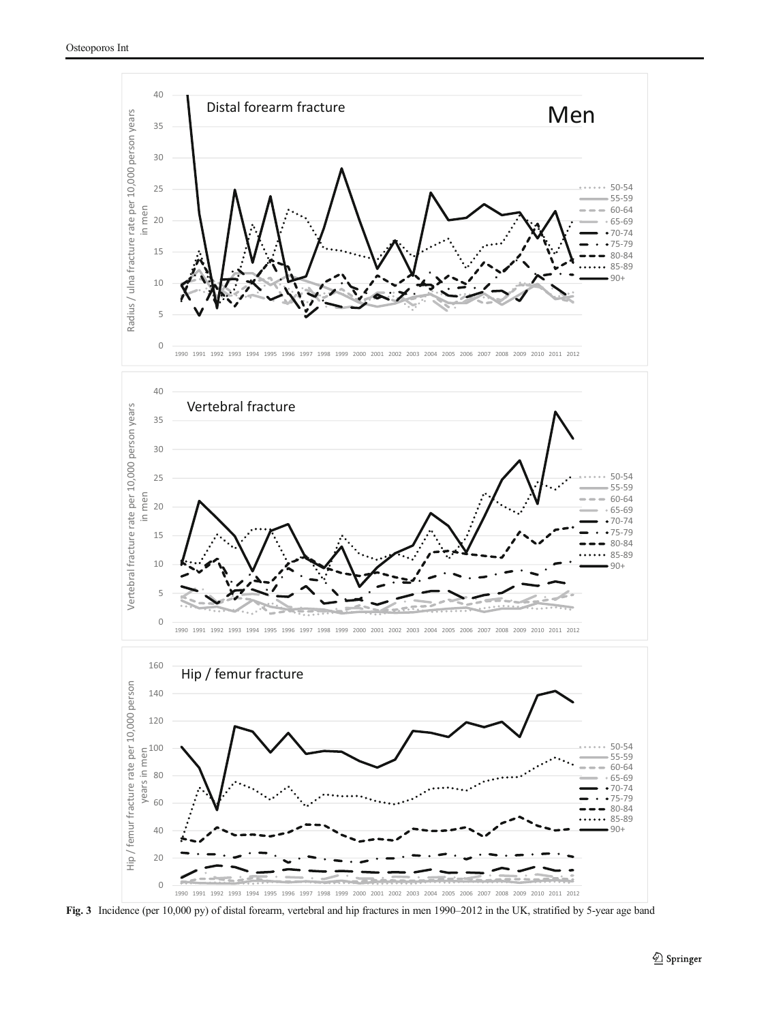<span id="page-6-0"></span>

Fig. 3 Incidence (per 10,000 py) of distal forearm, vertebral and hip fractures in men 1990–2012 in the UK, stratified by 5-year age band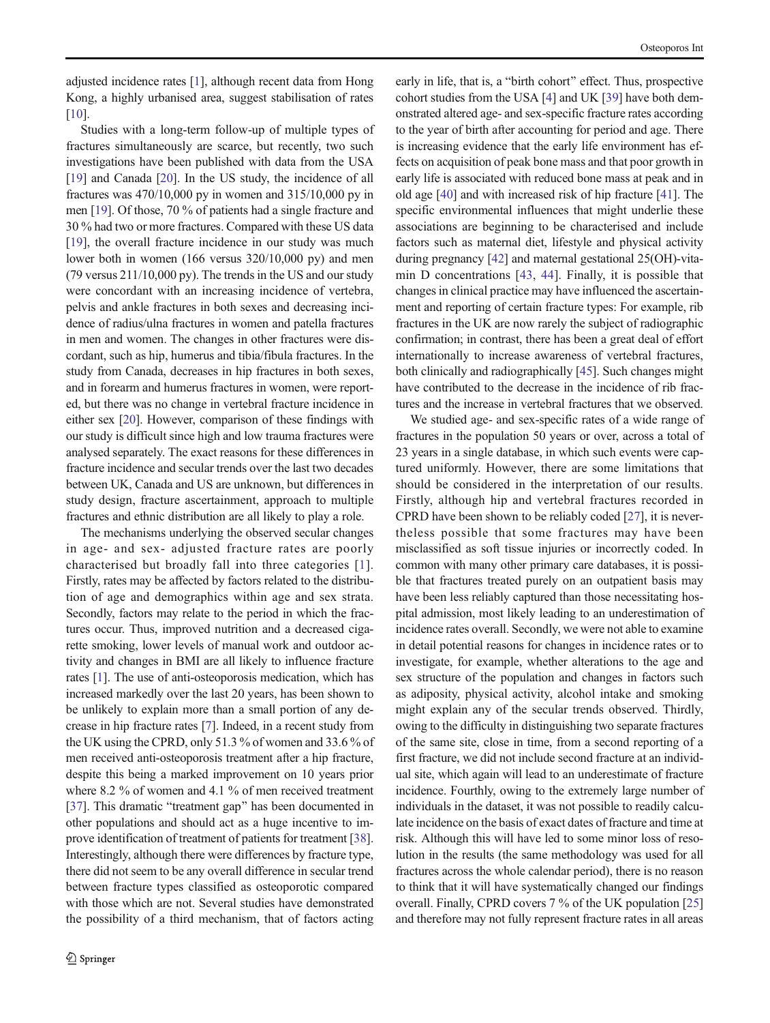adjusted incidence rates [\[1\]](#page-8-0), although recent data from Hong Kong, a highly urbanised area, suggest stabilisation of rates [\[10\]](#page-8-0).

Studies with a long-term follow-up of multiple types of fractures simultaneously are scarce, but recently, two such investigations have been published with data from the USA [\[19\]](#page-8-0) and Canada [\[20\]](#page-8-0). In the US study, the incidence of all fractures was  $470/10,000$  py in women and  $315/10,000$  py in men [\[19](#page-8-0)]. Of those, 70 % of patients had a single fracture and 30 % had two or more fractures. Compared with these US data [\[19](#page-8-0)], the overall fracture incidence in our study was much lower both in women (166 versus 320/10,000 py) and men (79 versus 211/10,000 py). The trends in the US and our study were concordant with an increasing incidence of vertebra, pelvis and ankle fractures in both sexes and decreasing incidence of radius/ulna fractures in women and patella fractures in men and women. The changes in other fractures were discordant, such as hip, humerus and tibia/fibula fractures. In the study from Canada, decreases in hip fractures in both sexes, and in forearm and humerus fractures in women, were reported, but there was no change in vertebral fracture incidence in either sex [\[20\]](#page-8-0). However, comparison of these findings with our study is difficult since high and low trauma fractures were analysed separately. The exact reasons for these differences in fracture incidence and secular trends over the last two decades between UK, Canada and US are unknown, but differences in study design, fracture ascertainment, approach to multiple fractures and ethnic distribution are all likely to play a role.

The mechanisms underlying the observed secular changes in age- and sex- adjusted fracture rates are poorly characterised but broadly fall into three categories [[1](#page-8-0)]. Firstly, rates may be affected by factors related to the distribution of age and demographics within age and sex strata. Secondly, factors may relate to the period in which the fractures occur. Thus, improved nutrition and a decreased cigarette smoking, lower levels of manual work and outdoor activity and changes in BMI are all likely to influence fracture rates [\[1\]](#page-8-0). The use of anti-osteoporosis medication, which has increased markedly over the last 20 years, has been shown to be unlikely to explain more than a small portion of any decrease in hip fracture rates [\[7\]](#page-8-0). Indeed, in a recent study from the UK using the CPRD, only 51.3 % of women and 33.6 % of men received anti-osteoporosis treatment after a hip fracture, despite this being a marked improvement on 10 years prior where 8.2 % of women and 4.1 % of men received treatment [\[37\]](#page-9-0). This dramatic "treatment gap" has been documented in other populations and should act as a huge incentive to improve identification of treatment of patients for treatment [[38\]](#page-9-0). Interestingly, although there were differences by fracture type, there did not seem to be any overall difference in secular trend between fracture types classified as osteoporotic compared with those which are not. Several studies have demonstrated the possibility of a third mechanism, that of factors acting early in life, that is, a "birth cohort" effect. Thus, prospective cohort studies from the USA [\[4](#page-8-0)] and UK [[39\]](#page-9-0) have both demonstrated altered age- and sex-specific fracture rates according to the year of birth after accounting for period and age. There is increasing evidence that the early life environment has effects on acquisition of peak bone mass and that poor growth in early life is associated with reduced bone mass at peak and in old age [[40](#page-9-0)] and with increased risk of hip fracture [\[41\]](#page-9-0). The specific environmental influences that might underlie these associations are beginning to be characterised and include factors such as maternal diet, lifestyle and physical activity during pregnancy [\[42](#page-9-0)] and maternal gestational 25(OH)-vitamin D concentrations [\[43](#page-9-0), [44\]](#page-9-0). Finally, it is possible that changes in clinical practice may have influenced the ascertainment and reporting of certain fracture types: For example, rib fractures in the UK are now rarely the subject of radiographic confirmation; in contrast, there has been a great deal of effort internationally to increase awareness of vertebral fractures, both clinically and radiographically [[45](#page-9-0)]. Such changes might have contributed to the decrease in the incidence of rib fractures and the increase in vertebral fractures that we observed.

We studied age- and sex-specific rates of a wide range of fractures in the population 50 years or over, across a total of 23 years in a single database, in which such events were captured uniformly. However, there are some limitations that should be considered in the interpretation of our results. Firstly, although hip and vertebral fractures recorded in CPRD have been shown to be reliably coded [[27](#page-9-0)], it is nevertheless possible that some fractures may have been misclassified as soft tissue injuries or incorrectly coded. In common with many other primary care databases, it is possible that fractures treated purely on an outpatient basis may have been less reliably captured than those necessitating hospital admission, most likely leading to an underestimation of incidence rates overall. Secondly, we were not able to examine in detail potential reasons for changes in incidence rates or to investigate, for example, whether alterations to the age and sex structure of the population and changes in factors such as adiposity, physical activity, alcohol intake and smoking might explain any of the secular trends observed. Thirdly, owing to the difficulty in distinguishing two separate fractures of the same site, close in time, from a second reporting of a first fracture, we did not include second fracture at an individual site, which again will lead to an underestimate of fracture incidence. Fourthly, owing to the extremely large number of individuals in the dataset, it was not possible to readily calculate incidence on the basis of exact dates of fracture and time at risk. Although this will have led to some minor loss of resolution in the results (the same methodology was used for all fractures across the whole calendar period), there is no reason to think that it will have systematically changed our findings overall. Finally, CPRD covers 7 % of the UK population [\[25](#page-8-0)] and therefore may not fully represent fracture rates in all areas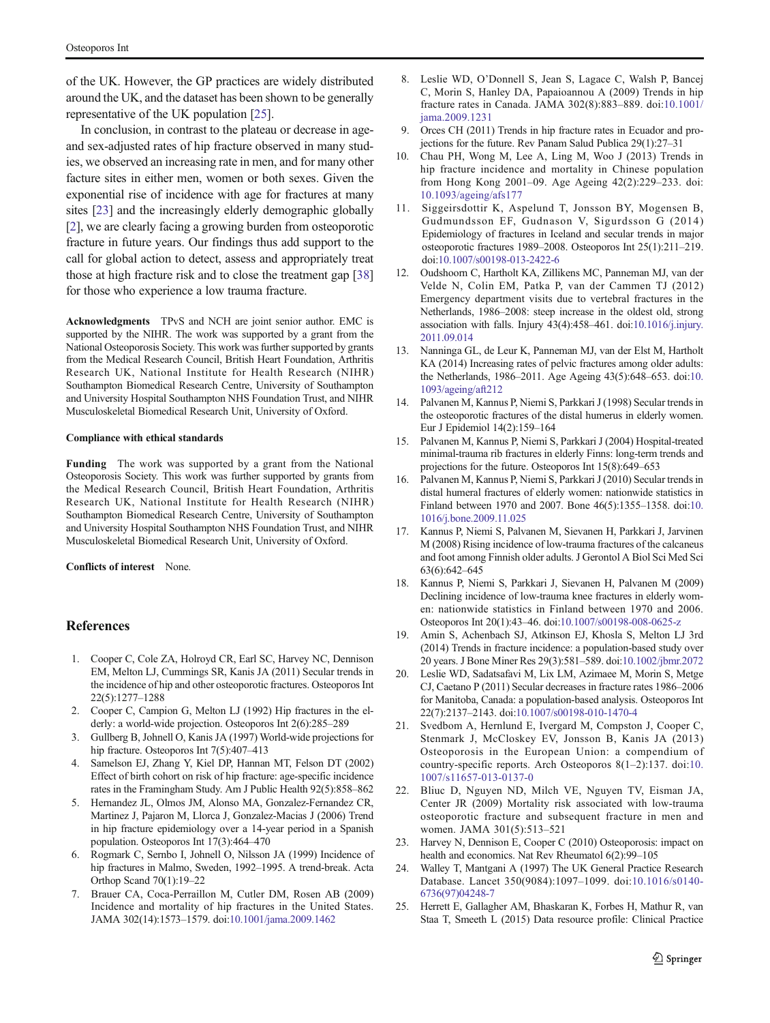<span id="page-8-0"></span>of the UK. However, the GP practices are widely distributed around the UK, and the dataset has been shown to be generally representative of the UK population [25].

In conclusion, in contrast to the plateau or decrease in ageand sex-adjusted rates of hip fracture observed in many studies, we observed an increasing rate in men, and for many other facture sites in either men, women or both sexes. Given the exponential rise of incidence with age for fractures at many sites [23] and the increasingly elderly demographic globally [2], we are clearly facing a growing burden from osteoporotic fracture in future years. Our findings thus add support to the call for global action to detect, assess and appropriately treat those at high fracture risk and to close the treatment gap [\[38\]](#page-9-0) for those who experience a low trauma fracture.

Acknowledgments TPvS and NCH are joint senior author. EMC is supported by the NIHR. The work was supported by a grant from the National Osteoporosis Society. This work was further supported by grants from the Medical Research Council, British Heart Foundation, Arthritis Research UK, National Institute for Health Research (NIHR) Southampton Biomedical Research Centre, University of Southampton and University Hospital Southampton NHS Foundation Trust, and NIHR Musculoskeletal Biomedical Research Unit, University of Oxford.

#### Compliance with ethical standards

Funding The work was supported by a grant from the National Osteoporosis Society. This work was further supported by grants from the Medical Research Council, British Heart Foundation, Arthritis Research UK, National Institute for Health Research (NIHR) Southampton Biomedical Research Centre, University of Southampton and University Hospital Southampton NHS Foundation Trust, and NIHR Musculoskeletal Biomedical Research Unit, University of Oxford.

### Conflicts of interest None.

### References

- 1. Cooper C, Cole ZA, Holroyd CR, Earl SC, Harvey NC, Dennison EM, Melton LJ, Cummings SR, Kanis JA (2011) Secular trends in the incidence of hip and other osteoporotic fractures. Osteoporos Int 22(5):1277–1288
- 2. Cooper C, Campion G, Melton LJ (1992) Hip fractures in the elderly: a world-wide projection. Osteoporos Int 2(6):285–289
- 3. Gullberg B, Johnell O, Kanis JA (1997) World-wide projections for hip fracture. Osteoporos Int 7(5):407–413
- 4. Samelson EJ, Zhang Y, Kiel DP, Hannan MT, Felson DT (2002) Effect of birth cohort on risk of hip fracture: age-specific incidence rates in the Framingham Study. Am J Public Health 92(5):858–862
- 5. Hernandez JL, Olmos JM, Alonso MA, Gonzalez-Fernandez CR, Martinez J, Pajaron M, Llorca J, Gonzalez-Macias J (2006) Trend in hip fracture epidemiology over a 14-year period in a Spanish population. Osteoporos Int 17(3):464–470
- 6. Rogmark C, Sernbo I, Johnell O, Nilsson JA (1999) Incidence of hip fractures in Malmo, Sweden, 1992–1995. A trend-break. Acta Orthop Scand 70(1):19–22
- 7. Brauer CA, Coca-Perraillon M, Cutler DM, Rosen AB (2009) Incidence and mortality of hip fractures in the United States. JAMA 302(14):1573–1579. doi:[10.1001/jama.2009.1462](http://dx.doi.org/10.1001/jama.2009.1462)
- 8. Leslie WD, O'Donnell S, Jean S, Lagace C, Walsh P, Bancej C, Morin S, Hanley DA, Papaioannou A (2009) Trends in hip fracture rates in Canada. JAMA 302(8):883–889. doi:[10.1001/](http://dx.doi.org/10.1001/jama.2009.1231) [jama.2009.1231](http://dx.doi.org/10.1001/jama.2009.1231)
- 9. Orces CH (2011) Trends in hip fracture rates in Ecuador and projections for the future. Rev Panam Salud Publica 29(1):27–31
- 10. Chau PH, Wong M, Lee A, Ling M, Woo J (2013) Trends in hip fracture incidence and mortality in Chinese population from Hong Kong 2001–09. Age Ageing 42(2):229–233. doi: [10.1093/ageing/afs177](http://dx.doi.org/10.1093/ageing/afs177)
- 11. Siggeirsdottir K, Aspelund T, Jonsson BY, Mogensen B, Gudmundsson EF, Gudnason V, Sigurdsson G (2014) Epidemiology of fractures in Iceland and secular trends in major osteoporotic fractures 1989–2008. Osteoporos Int 25(1):211–219. doi[:10.1007/s00198-013-2422-6](http://dx.doi.org/10.1007/s00198-013-2422-6)
- 12. Oudshoorn C, Hartholt KA, Zillikens MC, Panneman MJ, van der Velde N, Colin EM, Patka P, van der Cammen TJ (2012) Emergency department visits due to vertebral fractures in the Netherlands, 1986–2008: steep increase in the oldest old, strong association with falls. Injury 43(4):458–461. doi[:10.1016/j.injury.](http://dx.doi.org/10.1016/j.injury.2011.09.014) [2011.09.014](http://dx.doi.org/10.1016/j.injury.2011.09.014)
- 13. Nanninga GL, de Leur K, Panneman MJ, van der Elst M, Hartholt KA (2014) Increasing rates of pelvic fractures among older adults: the Netherlands, 1986–2011. Age Ageing 43(5):648–653. doi[:10.](http://dx.doi.org/10.1093/ageing/aft212) [1093/ageing/aft212](http://dx.doi.org/10.1093/ageing/aft212)
- 14. Palvanen M, Kannus P, Niemi S, Parkkari J (1998) Secular trends in the osteoporotic fractures of the distal humerus in elderly women. Eur J Epidemiol 14(2):159–164
- 15. Palvanen M, Kannus P, Niemi S, Parkkari J (2004) Hospital-treated minimal-trauma rib fractures in elderly Finns: long-term trends and projections for the future. Osteoporos Int 15(8):649–653
- 16. Palvanen M, Kannus P, Niemi S, Parkkari J (2010) Secular trends in distal humeral fractures of elderly women: nationwide statistics in Finland between 1970 and 2007. Bone 46(5):1355–1358. doi[:10.](http://dx.doi.org/10.1016/j.bone.2009.11.025) [1016/j.bone.2009.11.025](http://dx.doi.org/10.1016/j.bone.2009.11.025)
- 17. Kannus P, Niemi S, Palvanen M, Sievanen H, Parkkari J, Jarvinen M (2008) Rising incidence of low-trauma fractures of the calcaneus and foot among Finnish older adults. J Gerontol A Biol Sci Med Sci 63(6):642–645
- 18. Kannus P, Niemi S, Parkkari J, Sievanen H, Palvanen M (2009) Declining incidence of low-trauma knee fractures in elderly women: nationwide statistics in Finland between 1970 and 2006. Osteoporos Int 20(1):43–46. doi:[10.1007/s00198-008-0625-z](http://dx.doi.org/10.1007/s00198-008-0625-z)
- 19. Amin S, Achenbach SJ, Atkinson EJ, Khosla S, Melton LJ 3rd (2014) Trends in fracture incidence: a population-based study over 20 years. J Bone Miner Res 29(3):581–589. doi:[10.1002/jbmr.2072](http://dx.doi.org/10.1002/jbmr.2072)
- 20. Leslie WD, Sadatsafavi M, Lix LM, Azimaee M, Morin S, Metge CJ, Caetano P (2011) Secular decreases in fracture rates 1986–2006 for Manitoba, Canada: a population-based analysis. Osteoporos Int 22(7):2137–2143. doi[:10.1007/s00198-010-1470-4](http://dx.doi.org/10.1007/s00198-010-1470-4)
- 21. Svedbom A, Hernlund E, Ivergard M, Compston J, Cooper C, Stenmark J, McCloskey EV, Jonsson B, Kanis JA (2013) Osteoporosis in the European Union: a compendium of country-specific reports. Arch Osteoporos 8(1–2):137. doi[:10.](http://dx.doi.org/10.1007/s11657-013-0137-0) [1007/s11657-013-0137-0](http://dx.doi.org/10.1007/s11657-013-0137-0)
- 22. Bliuc D, Nguyen ND, Milch VE, Nguyen TV, Eisman JA, Center JR (2009) Mortality risk associated with low-trauma osteoporotic fracture and subsequent fracture in men and women. JAMA 301(5):513–521
- 23. Harvey N, Dennison E, Cooper C (2010) Osteoporosis: impact on health and economics. Nat Rev Rheumatol 6(2):99–105
- 24. Walley T, Mantgani A (1997) The UK General Practice Research Database. Lancet 350(9084):1097–1099. doi:[10.1016/s0140-](http://dx.doi.org/10.1016/s0140-6736(97)04248-7) [6736\(97\)04248-7](http://dx.doi.org/10.1016/s0140-6736(97)04248-7)
- 25. Herrett E, Gallagher AM, Bhaskaran K, Forbes H, Mathur R, van Staa T, Smeeth L (2015) Data resource profile: Clinical Practice